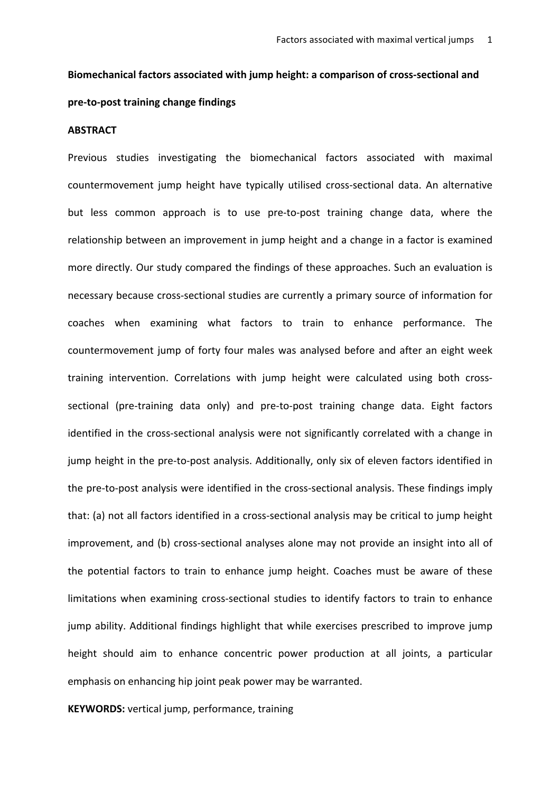# Biomechanical factors associated with jump height: a comparison of cross-sectional and pre-to-post training change findings

#### **ABSTRACT**

Previous studies investigating the biomechanical factors associated with maximal countermovement jump height have typically utilised cross-sectional data. An alternative but less common approach is to use pre-to-post training change data, where the relationship between an improvement in jump height and a change in a factor is examined more directly. Our study compared the findings of these approaches. Such an evaluation is necessary because cross-sectional studies are currently a primary source of information for coaches when examining what factors to train to enhance performance. The countermovement jump of forty four males was analysed before and after an eight week training intervention. Correlations with jump height were calculated using both crosssectional (pre-training data only) and pre-to-post training change data. Eight factors identified in the cross-sectional analysis were not significantly correlated with a change in jump height in the pre-to-post analysis. Additionally, only six of eleven factors identified in the pre-to-post analysis were identified in the cross-sectional analysis. These findings imply that: (a) not all factors identified in a cross-sectional analysis may be critical to jump height improvement, and (b) cross-sectional analyses alone may not provide an insight into all of the potential factors to train to enhance jump height. Coaches must be aware of these limitations when examining cross-sectional studies to identify factors to train to enhance jump ability. Additional findings highlight that while exercises prescribed to improve jump height should aim to enhance concentric power production at all joints, a particular emphasis on enhancing hip joint peak power may be warranted.

**KEYWORDS:** vertical jump, performance, training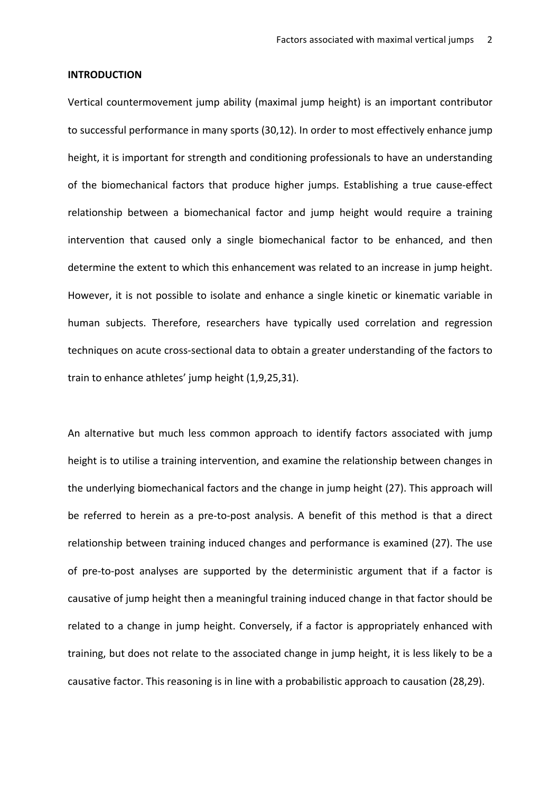#### **INTRODUCTION**

Vertical countermovement jump ability (maximal jump height) is an important contributor to successful performance in many sports (30,12). In order to most effectively enhance jump height, it is important for strength and conditioning professionals to have an understanding of the biomechanical factors that produce higher jumps. Establishing a true cause-effect relationship between a biomechanical factor and jump height would require a training intervention that caused only a single biomechanical factor to be enhanced, and then determine the extent to which this enhancement was related to an increase in jump height. However, it is not possible to isolate and enhance a single kinetic or kinematic variable in human subjects. Therefore, researchers have typically used correlation and regression techniques on acute cross-sectional data to obtain a greater understanding of the factors to train to enhance athletes' jump height (1,9,25,31).

An alternative but much less common approach to identify factors associated with jump height is to utilise a training intervention, and examine the relationship between changes in the underlying biomechanical factors and the change in jump height (27). This approach will be referred to herein as a pre-to-post analysis. A benefit of this method is that a direct relationship between training induced changes and performance is examined (27). The use of pre-to-post analyses are supported by the deterministic argument that if a factor is causative of jump height then a meaningful training induced change in that factor should be related to a change in jump height. Conversely, if a factor is appropriately enhanced with training, but does not relate to the associated change in jump height, it is less likely to be a causative factor. This reasoning is in line with a probabilistic approach to causation (28,29).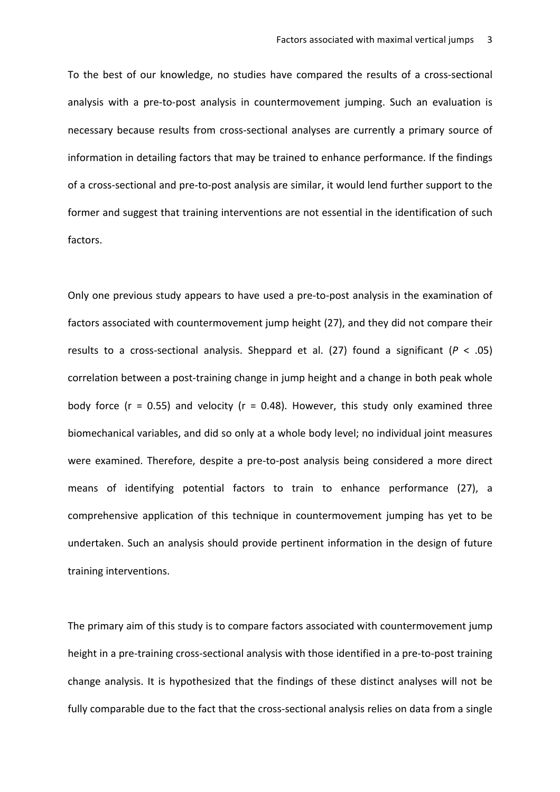To the best of our knowledge, no studies have compared the results of a cross-sectional analysis with a pre-to-post analysis in countermovement jumping. Such an evaluation is necessary because results from cross-sectional analyses are currently a primary source of information in detailing factors that may be trained to enhance performance. If the findings of a cross-sectional and pre-to-post analysis are similar, it would lend further support to the former and suggest that training interventions are not essential in the identification of such factors. 

Only one previous study appears to have used a pre-to-post analysis in the examination of factors associated with countermovement jump height (27), and they did not compare their results to a cross-sectional analysis. Sheppard et al.  $(27)$  found a significant  $(P < .05)$ correlation between a post-training change in jump height and a change in both peak whole body force ( $r = 0.55$ ) and velocity ( $r = 0.48$ ). However, this study only examined three biomechanical variables, and did so only at a whole body level; no individual joint measures were examined. Therefore, despite a pre-to-post analysis being considered a more direct means of identifying potential factors to train to enhance performance (27), a comprehensive application of this technique in countermovement jumping has yet to be undertaken. Such an analysis should provide pertinent information in the design of future training interventions.

The primary aim of this study is to compare factors associated with countermovement jump height in a pre-training cross-sectional analysis with those identified in a pre-to-post training change analysis. It is hypothesized that the findings of these distinct analyses will not be fully comparable due to the fact that the cross-sectional analysis relies on data from a single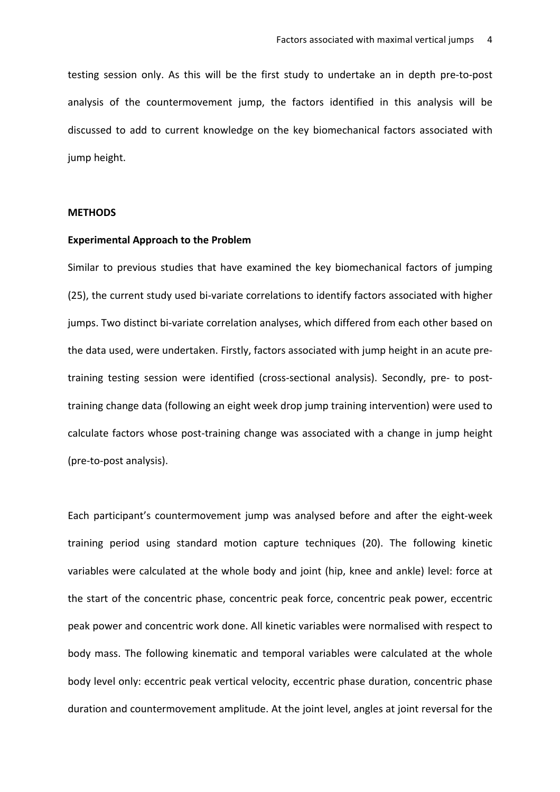testing session only. As this will be the first study to undertake an in depth pre-to-post analysis of the countermovement jump, the factors identified in this analysis will be discussed to add to current knowledge on the key biomechanical factors associated with jump height.

#### **METHODS**

#### **Experimental Approach to the Problem**

Similar to previous studies that have examined the key biomechanical factors of jumping (25), the current study used bi-variate correlations to identify factors associated with higher jumps. Two distinct bi-variate correlation analyses, which differed from each other based on the data used, were undertaken. Firstly, factors associated with jump height in an acute pretraining testing session were identified (cross-sectional analysis). Secondly, pre- to posttraining change data (following an eight week drop jump training intervention) were used to calculate factors whose post-training change was associated with a change in jump height (pre-to-post analysis).

Each participant's countermovement jump was analysed before and after the eight-week training period using standard motion capture techniques (20). The following kinetic variables were calculated at the whole body and joint (hip, knee and ankle) level: force at the start of the concentric phase, concentric peak force, concentric peak power, eccentric peak power and concentric work done. All kinetic variables were normalised with respect to body mass. The following kinematic and temporal variables were calculated at the whole body level only: eccentric peak vertical velocity, eccentric phase duration, concentric phase duration and countermovement amplitude. At the joint level, angles at joint reversal for the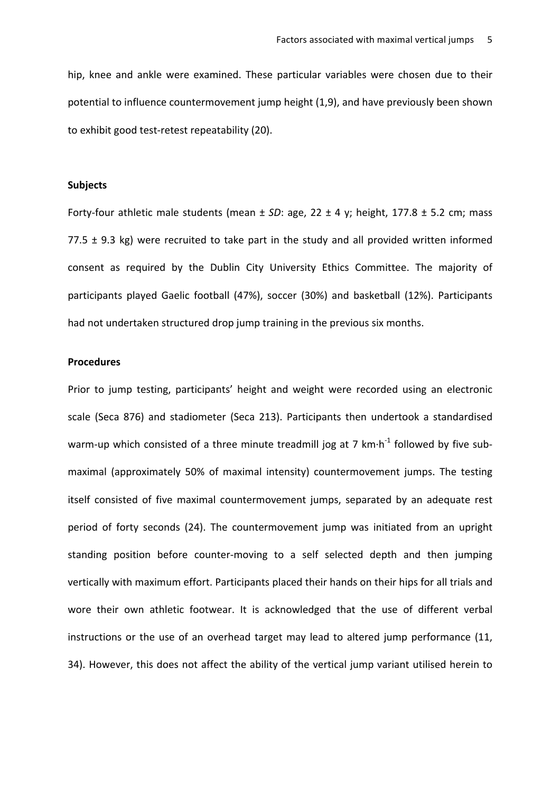hip, knee and ankle were examined. These particular variables were chosen due to their potential to influence countermovement jump height (1,9), and have previously been shown to exhibit good test-retest repeatability (20).

## **Subjects**

Forty-four athletic male students (mean  $\pm$  *SD*: age, 22  $\pm$  4 y; height, 177.8  $\pm$  5.2 cm; mass 77.5  $\pm$  9.3 kg) were recruited to take part in the study and all provided written informed consent as required by the Dublin City University Ethics Committee. The majority of participants played Gaelic football (47%), soccer (30%) and basketball (12%). Participants had not undertaken structured drop jump training in the previous six months.

## **Procedures**

Prior to jump testing, participants' height and weight were recorded using an electronic scale (Seca 876) and stadiometer (Seca 213). Participants then undertook a standardised warm-up which consisted of a three minute treadmill jog at 7  $km\cdot h^{-1}$  followed by five submaximal (approximately 50% of maximal intensity) countermovement jumps. The testing itself consisted of five maximal countermovement jumps, separated by an adequate rest period of forty seconds (24). The countermovement jump was initiated from an upright standing position before counter-moving to a self selected depth and then jumping vertically with maximum effort. Participants placed their hands on their hips for all trials and wore their own athletic footwear. It is acknowledged that the use of different verbal instructions or the use of an overhead target may lead to altered jump performance (11, 34). However, this does not affect the ability of the vertical jump variant utilised herein to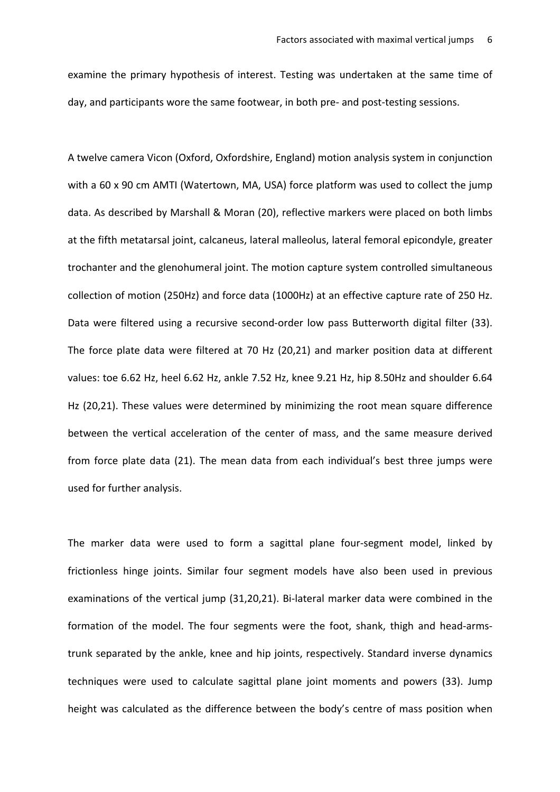examine the primary hypothesis of interest. Testing was undertaken at the same time of day, and participants wore the same footwear, in both pre- and post-testing sessions.

A twelve camera Vicon (Oxford, Oxfordshire, England) motion analysis system in conjunction with a 60 x 90 cm AMTI (Watertown, MA, USA) force platform was used to collect the jump data. As described by Marshall & Moran (20), reflective markers were placed on both limbs at the fifth metatarsal joint, calcaneus, lateral malleolus, lateral femoral epicondyle, greater trochanter and the glenohumeral joint. The motion capture system controlled simultaneous collection of motion (250Hz) and force data (1000Hz) at an effective capture rate of 250 Hz. Data were filtered using a recursive second-order low pass Butterworth digital filter (33). The force plate data were filtered at 70 Hz (20,21) and marker position data at different values: toe 6.62 Hz, heel 6.62 Hz, ankle 7.52 Hz, knee 9.21 Hz, hip 8.50Hz and shoulder 6.64 Hz (20,21). These values were determined by minimizing the root mean square difference between the vertical acceleration of the center of mass, and the same measure derived from force plate data (21). The mean data from each individual's best three jumps were used for further analysis.

The marker data were used to form a sagittal plane four-segment model, linked by frictionless hinge joints. Similar four segment models have also been used in previous examinations of the vertical jump (31,20,21). Bi-lateral marker data were combined in the formation of the model. The four segments were the foot, shank, thigh and head-armstrunk separated by the ankle, knee and hip joints, respectively. Standard inverse dynamics techniques were used to calculate sagittal plane joint moments and powers (33). Jump height was calculated as the difference between the body's centre of mass position when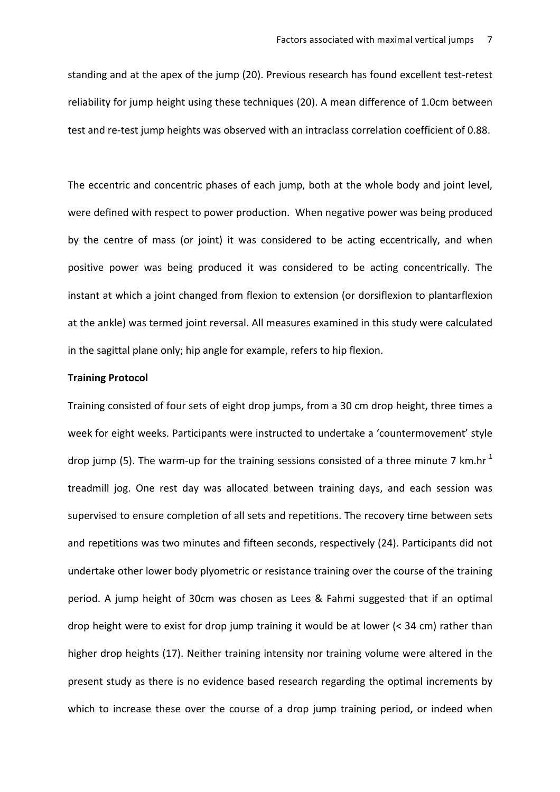standing and at the apex of the jump (20). Previous research has found excellent test-retest reliability for jump height using these techniques (20). A mean difference of 1.0cm between test and re-test jump heights was observed with an intraclass correlation coefficient of 0.88.

The eccentric and concentric phases of each jump, both at the whole body and joint level, were defined with respect to power production. When negative power was being produced by the centre of mass (or joint) it was considered to be acting eccentrically, and when positive power was being produced it was considered to be acting concentrically. The instant at which a joint changed from flexion to extension (or dorsiflexion to plantarflexion at the ankle) was termed joint reversal. All measures examined in this study were calculated in the sagittal plane only; hip angle for example, refers to hip flexion.

#### **Training Protocol**

Training consisted of four sets of eight drop jumps, from a 30 cm drop height, three times a week for eight weeks. Participants were instructed to undertake a 'countermovement' style drop jump (5). The warm-up for the training sessions consisted of a three minute 7 km.hr<sup>-1</sup> treadmill jog. One rest day was allocated between training days, and each session was supervised to ensure completion of all sets and repetitions. The recovery time between sets and repetitions was two minutes and fifteen seconds, respectively (24). Participants did not undertake other lower body plyometric or resistance training over the course of the training period. A jump height of 30cm was chosen as Lees & Fahmi suggested that if an optimal drop height were to exist for drop jump training it would be at lower  $($  < 34 cm) rather than higher drop heights (17). Neither training intensity nor training volume were altered in the present study as there is no evidence based research regarding the optimal increments by which to increase these over the course of a drop jump training period, or indeed when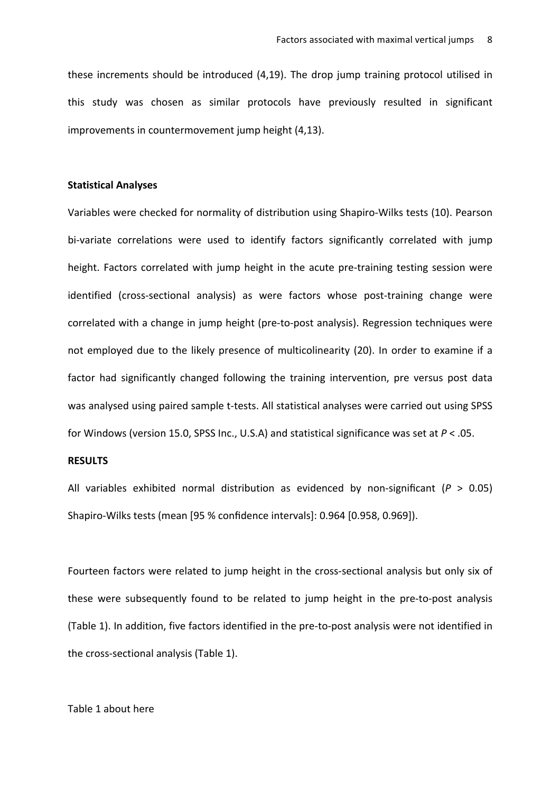these increments should be introduced  $(4,19)$ . The drop jump training protocol utilised in this study was chosen as similar protocols have previously resulted in significant improvements in countermovement iump height (4.13).

## **Statistical Analyses**

Variables were checked for normality of distribution using Shapiro-Wilks tests (10). Pearson bi-variate correlations were used to identify factors significantly correlated with jump height. Factors correlated with jump height in the acute pre-training testing session were identified (cross-sectional analysis) as were factors whose post-training change were correlated with a change in jump height (pre-to-post analysis). Regression techniques were not employed due to the likely presence of multicolinearity (20). In order to examine if a factor had significantly changed following the training intervention, pre versus post data was analysed using paired sample t-tests. All statistical analyses were carried out using SPSS for Windows (version 15.0, SPSS Inc., U.S.A) and statistical significance was set at  $P < .05$ .

## **RESULTS**

All variables exhibited normal distribution as evidenced by non-significant ( $P > 0.05$ ) Shapiro-Wilks tests (mean [95 % confidence intervals]: 0.964 [0.958, 0.969]).

Fourteen factors were related to jump height in the cross-sectional analysis but only six of these were subsequently found to be related to jump height in the pre-to-post analysis (Table 1). In addition, five factors identified in the pre-to-post analysis were not identified in the cross-sectional analysis (Table 1).

## Table 1 about here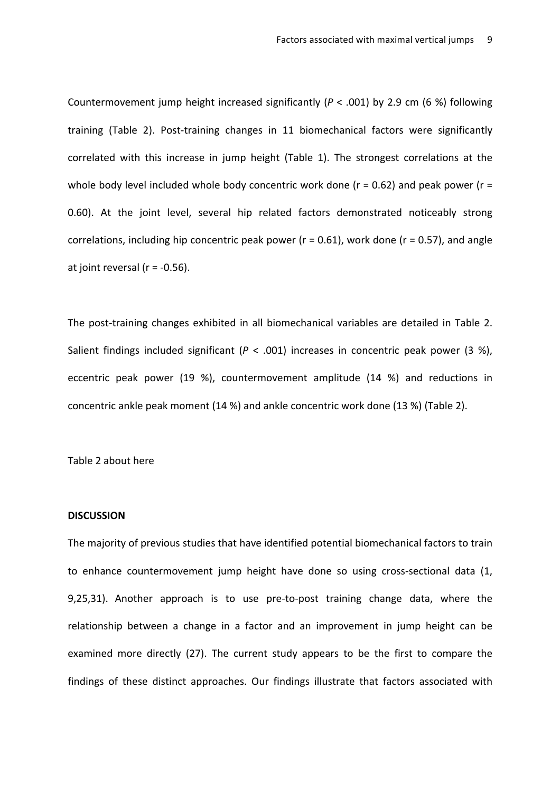Countermovement jump height increased significantly  $(P < .001)$  by 2.9 cm (6 %) following training (Table 2). Post-training changes in 11 biomechanical factors were significantly correlated with this increase in jump height (Table 1). The strongest correlations at the whole body level included whole body concentric work done ( $r = 0.62$ ) and peak power ( $r =$ 0.60). At the joint level, several hip related factors demonstrated noticeably strong correlations, including hip concentric peak power ( $r = 0.61$ ), work done ( $r = 0.57$ ), and angle at joint reversal ( $r = -0.56$ ).

The post-training changes exhibited in all biomechanical variables are detailed in Table 2. Salient findings included significant  $(P < .001)$  increases in concentric peak power (3 %), eccentric peak power (19 %), countermovement amplitude (14 %) and reductions in concentric ankle peak moment (14 %) and ankle concentric work done (13 %) (Table 2).

Table 2 about here

#### **DISCUSSION**

The majority of previous studies that have identified potential biomechanical factors to train to enhance countermovement jump height have done so using cross-sectional data (1, 9,25,31). Another approach is to use pre-to-post training change data, where the relationship between a change in a factor and an improvement in jump height can be examined more directly (27). The current study appears to be the first to compare the findings of these distinct approaches. Our findings illustrate that factors associated with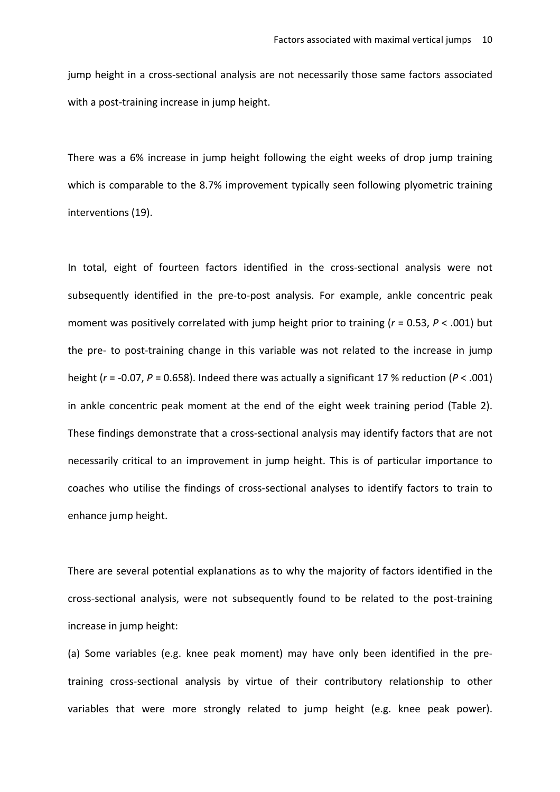jump height in a cross-sectional analysis are not necessarily those same factors associated with a post-training increase in jump height.

There was a 6% increase in jump height following the eight weeks of drop jump training which is comparable to the 8.7% improvement typically seen following plyometric training interventions (19). 

In total, eight of fourteen factors identified in the cross-sectional analysis were not subsequently identified in the pre-to-post analysis. For example, ankle concentric peak moment was positively correlated with jump height prior to training  $(r = 0.53, P < .001)$  but the pre- to post-training change in this variable was not related to the increase in jump height  $(r = -0.07, P = 0.658)$ . Indeed there was actually a significant 17 % reduction  $(P < .001)$ in ankle concentric peak moment at the end of the eight week training period (Table 2). These findings demonstrate that a cross-sectional analysis may identify factors that are not necessarily critical to an improvement in jump height. This is of particular importance to coaches who utilise the findings of cross-sectional analyses to identify factors to train to enhance jump height.

There are several potential explanations as to why the majority of factors identified in the cross-sectional analysis, were not subsequently found to be related to the post-training increase in jump height:

(a) Some variables (e.g. knee peak moment) may have only been identified in the pretraining cross-sectional analysis by virtue of their contributory relationship to other variables that were more strongly related to jump height (e.g. knee peak power).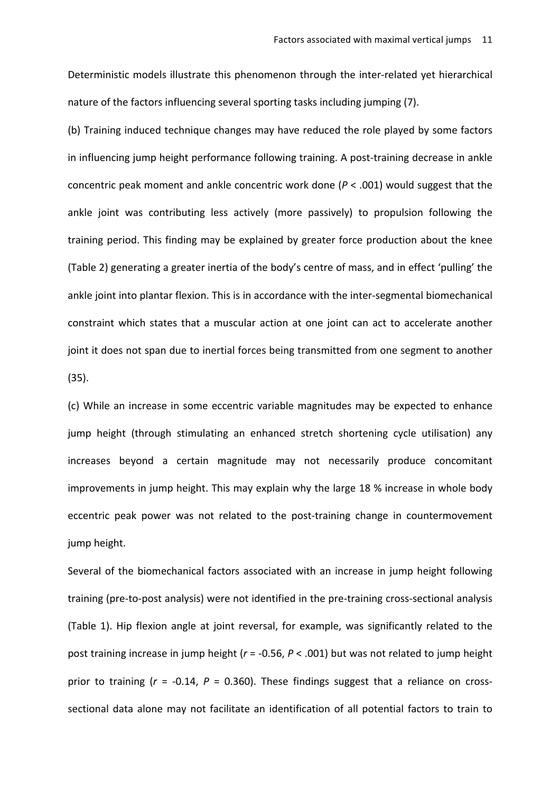Deterministic models illustrate this phenomenon through the inter-related yet hierarchical nature of the factors influencing several sporting tasks including jumping (7).

(b) Training induced technique changes may have reduced the role played by some factors in influencing jump height performance following training. A post-training decrease in ankle concentric peak moment and ankle concentric work done  $(P < .001)$  would suggest that the ankle joint was contributing less actively (more passively) to propulsion following the training period. This finding may be explained by greater force production about the knee (Table 2) generating a greater inertia of the body's centre of mass, and in effect 'pulling' the ankle joint into plantar flexion. This is in accordance with the inter-segmental biomechanical constraint which states that a muscular action at one joint can act to accelerate another joint it does not span due to inertial forces being transmitted from one segment to another (35).

(c) While an increase in some eccentric variable magnitudes may be expected to enhance jump height (through stimulating an enhanced stretch shortening cycle utilisation) any increases beyond a certain magnitude may not necessarily produce concomitant improvements in jump height. This may explain why the large 18 % increase in whole body eccentric peak power was not related to the post-training change in countermovement jump height.

Several of the biomechanical factors associated with an increase in jump height following training (pre-to-post analysis) were not identified in the pre-training cross-sectional analysis (Table 1). Hip flexion angle at joint reversal, for example, was significantly related to the post training increase in jump height ( $r = -0.56$ ,  $P < .001$ ) but was not related to jump height prior to training  $(r = -0.14, P = 0.360)$ . These findings suggest that a reliance on crosssectional data alone may not facilitate an identification of all potential factors to train to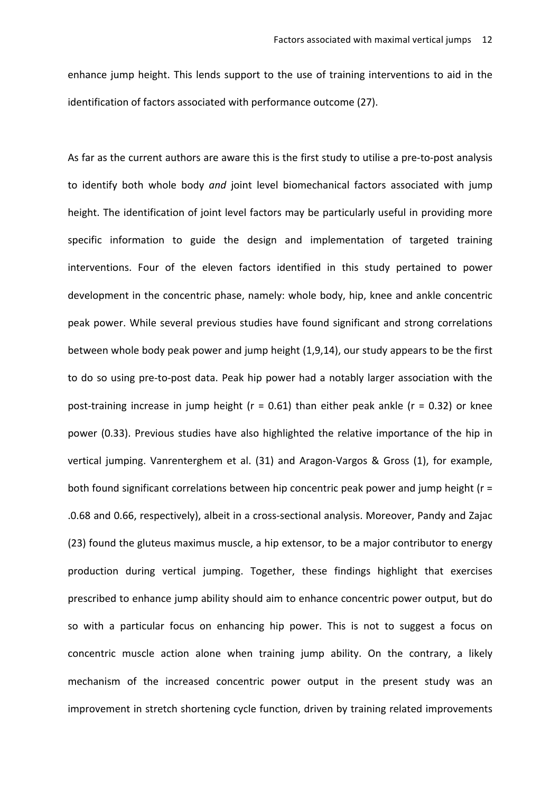enhance jump height. This lends support to the use of training interventions to aid in the identification of factors associated with performance outcome (27).

As far as the current authors are aware this is the first study to utilise a pre-to-post analysis to identify both whole body and joint level biomechanical factors associated with jump height. The identification of joint level factors may be particularly useful in providing more specific information to guide the design and implementation of targeted training interventions. Four of the eleven factors identified in this study pertained to power development in the concentric phase, namely: whole body, hip, knee and ankle concentric peak power. While several previous studies have found significant and strong correlations between whole body peak power and jump height  $(1,9,14)$ , our study appears to be the first to do so using pre-to-post data. Peak hip power had a notably larger association with the post-training increase in jump height ( $r = 0.61$ ) than either peak ankle ( $r = 0.32$ ) or knee power (0.33). Previous studies have also highlighted the relative importance of the hip in vertical jumping. Vanrenterghem et al. (31) and Aragon-Vargos & Gross (1), for example, both found significant correlations between hip concentric peak power and jump height ( $r =$ .0.68 and 0.66, respectively), albeit in a cross-sectional analysis. Moreover, Pandy and Zajac (23) found the gluteus maximus muscle, a hip extensor, to be a major contributor to energy production during vertical jumping. Together, these findings highlight that exercises prescribed to enhance jump ability should aim to enhance concentric power output, but do so with a particular focus on enhancing hip power. This is not to suggest a focus on concentric muscle action alone when training jump ability. On the contrary, a likely mechanism of the increased concentric power output in the present study was an improvement in stretch shortening cycle function, driven by training related improvements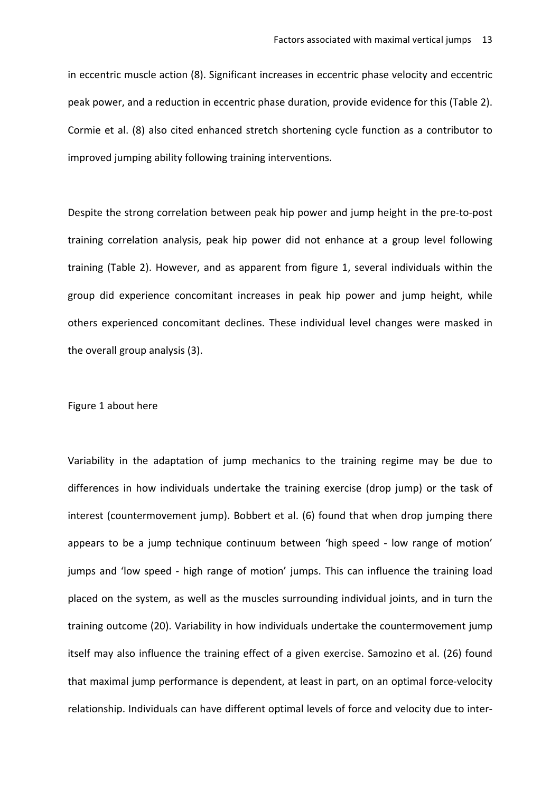in eccentric muscle action (8). Significant increases in eccentric phase velocity and eccentric peak power, and a reduction in eccentric phase duration, provide evidence for this (Table 2). Cormie et al. (8) also cited enhanced stretch shortening cycle function as a contributor to improved jumping ability following training interventions.

Despite the strong correlation between peak hip power and jump height in the pre-to-post training correlation analysis, peak hip power did not enhance at a group level following training (Table 2). However, and as apparent from figure 1, several individuals within the group did experience concomitant increases in peak hip power and jump height, while others experienced concomitant declines. These individual level changes were masked in the overall group analysis (3).

## Figure 1 about here

Variability in the adaptation of jump mechanics to the training regime may be due to differences in how individuals undertake the training exercise (drop jump) or the task of interest (countermovement jump). Bobbert et al. (6) found that when drop jumping there appears to be a jump technique continuum between 'high speed - low range of motion' jumps and 'low speed - high range of motion' jumps. This can influence the training load placed on the system, as well as the muscles surrounding individual joints, and in turn the training outcome (20). Variability in how individuals undertake the countermovement jump itself may also influence the training effect of a given exercise. Samozino et al. (26) found that maximal jump performance is dependent, at least in part, on an optimal force-velocity relationship. Individuals can have different optimal levels of force and velocity due to inter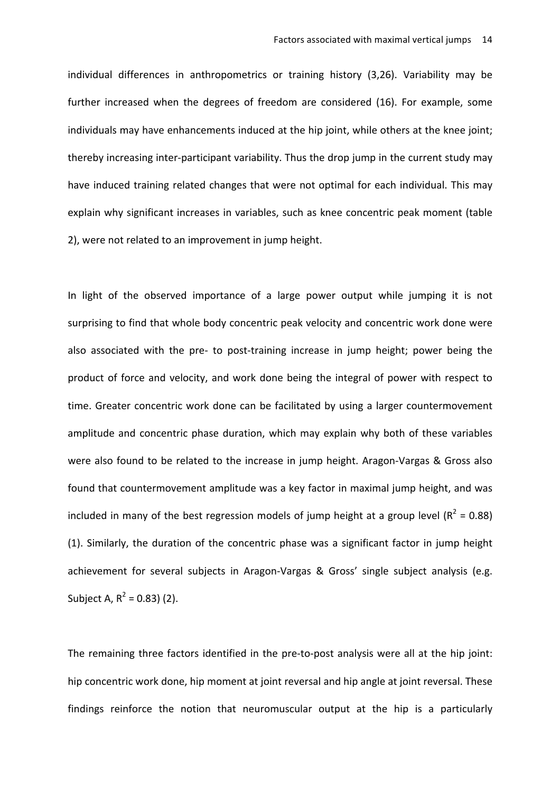individual differences in anthropometrics or training history (3,26). Variability may be further increased when the degrees of freedom are considered (16). For example, some individuals may have enhancements induced at the hip joint, while others at the knee joint; thereby increasing inter-participant variability. Thus the drop jump in the current study may have induced training related changes that were not optimal for each individual. This may explain why significant increases in variables, such as knee concentric peak moment (table 2), were not related to an improvement in jump height.

In light of the observed importance of a large power output while jumping it is not surprising to find that whole body concentric peak velocity and concentric work done were also associated with the pre- to post-training increase in jump height; power being the product of force and velocity, and work done being the integral of power with respect to time. Greater concentric work done can be facilitated by using a larger countermovement amplitude and concentric phase duration, which may explain why both of these variables were also found to be related to the increase in jump height. Aragon-Vargas & Gross also found that countermovement amplitude was a key factor in maximal jump height, and was included in many of the best regression models of jump height at a group level ( $R^2 = 0.88$ ) (1). Similarly, the duration of the concentric phase was a significant factor in jump height achievement for several subjects in Aragon-Vargas & Gross' single subject analysis (e.g. Subject A,  $R^2 = 0.83$ ) (2).

The remaining three factors identified in the pre-to-post analysis were all at the hip joint: hip concentric work done, hip moment at joint reversal and hip angle at joint reversal. These findings reinforce the notion that neuromuscular output at the hip is a particularly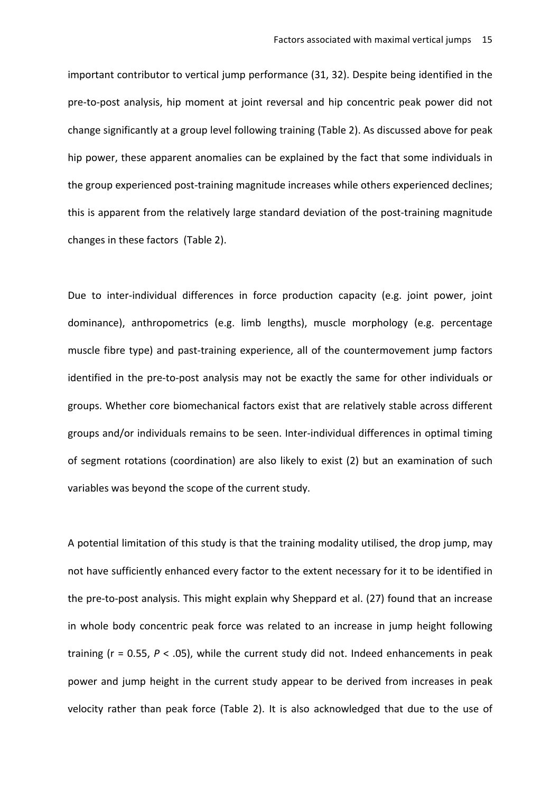important contributor to vertical jump performance (31, 32). Despite being identified in the pre-to-post analysis, hip moment at joint reversal and hip concentric peak power did not change significantly at a group level following training (Table 2). As discussed above for peak hip power, these apparent anomalies can be explained by the fact that some individuals in the group experienced post-training magnitude increases while others experienced declines; this is apparent from the relatively large standard deviation of the post-training magnitude changes in these factors (Table 2).

Due to inter-individual differences in force production capacity (e.g. joint power, joint dominance), anthropometrics (e.g. limb lengths), muscle morphology (e.g. percentage muscle fibre type) and past-training experience, all of the countermovement jump factors identified in the pre-to-post analysis may not be exactly the same for other individuals or groups. Whether core biomechanical factors exist that are relatively stable across different groups and/or individuals remains to be seen. Inter-individual differences in optimal timing of segment rotations (coordination) are also likely to exist (2) but an examination of such variables was beyond the scope of the current study.

A potential limitation of this study is that the training modality utilised, the drop jump, may not have sufficiently enhanced every factor to the extent necessary for it to be identified in the pre-to-post analysis. This might explain why Sheppard et al. (27) found that an increase in whole body concentric peak force was related to an increase in jump height following training  $(r = 0.55, P < .05)$ , while the current study did not. Indeed enhancements in peak power and jump height in the current study appear to be derived from increases in peak velocity rather than peak force (Table 2). It is also acknowledged that due to the use of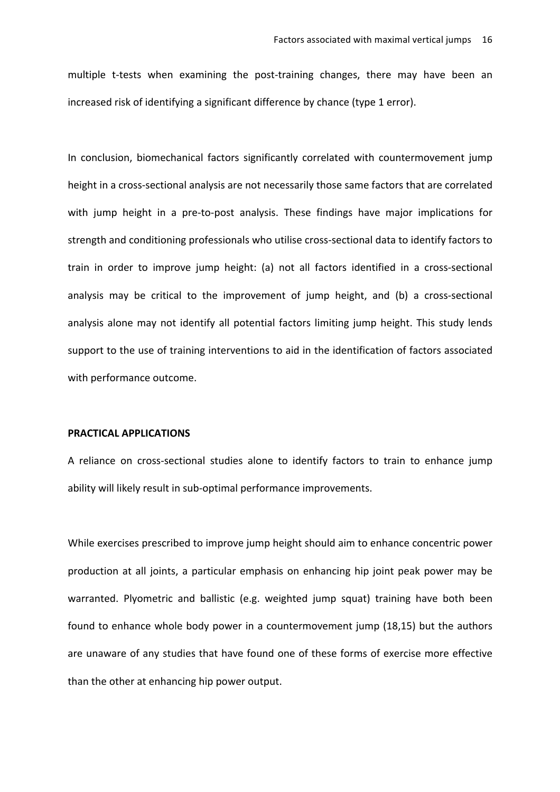multiple t-tests when examining the post-training changes, there may have been an increased risk of identifying a significant difference by chance (type 1 error).

In conclusion, biomechanical factors significantly correlated with countermovement jump height in a cross-sectional analysis are not necessarily those same factors that are correlated with jump height in a pre-to-post analysis. These findings have major implications for strength and conditioning professionals who utilise cross-sectional data to identify factors to train in order to improve jump height: (a) not all factors identified in a cross-sectional analysis may be critical to the improvement of jump height, and (b) a cross-sectional analysis alone may not identify all potential factors limiting jump height. This study lends support to the use of training interventions to aid in the identification of factors associated with performance outcome.

#### **PRACTICAL APPLICATIONS**

A reliance on cross-sectional studies alone to identify factors to train to enhance jump ability will likely result in sub-optimal performance improvements.

While exercises prescribed to improve jump height should aim to enhance concentric power production at all joints, a particular emphasis on enhancing hip joint peak power may be warranted. Plyometric and ballistic (e.g. weighted jump squat) training have both been found to enhance whole body power in a countermovement jump (18,15) but the authors are unaware of any studies that have found one of these forms of exercise more effective than the other at enhancing hip power output.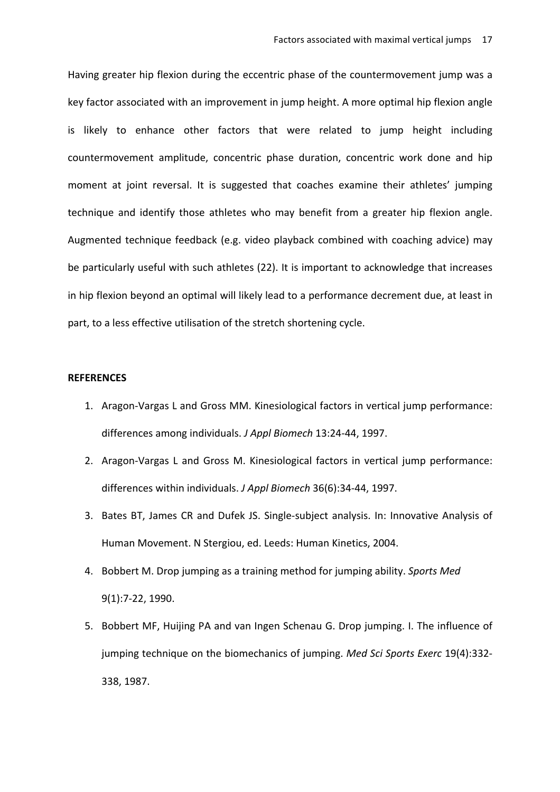Having greater hip flexion during the eccentric phase of the countermovement jump was a key factor associated with an improvement in jump height. A more optimal hip flexion angle is likely to enhance other factors that were related to jump height including countermovement amplitude, concentric phase duration, concentric work done and hip moment at joint reversal. It is suggested that coaches examine their athletes' jumping technique and identify those athletes who may benefit from a greater hip flexion angle. Augmented technique feedback (e.g. video playback combined with coaching advice) may be particularly useful with such athletes (22). It is important to acknowledge that increases in hip flexion beyond an optimal will likely lead to a performance decrement due, at least in part, to a less effective utilisation of the stretch shortening cycle.

## **REFERENCES**

- 1. Aragon-Vargas L and Gross MM. Kinesiological factors in vertical jump performance: differences among individuals. *J Appl Biomech* 13:24-44, 1997.
- 2. Aragon-Vargas L and Gross M. Kinesiological factors in vertical jump performance: differences within individuals. *J Appl Biomech* 36(6):34-44, 1997.
- 3. Bates BT, James CR and Dufek JS. Single-subject analysis. In: Innovative Analysis of Human Movement. N Stergiou, ed. Leeds: Human Kinetics, 2004.
- 4. Bobbert M. Drop jumping as a training method for jumping ability. Sports Med 9(1):7-22, 1990.
- 5. Bobbert MF, Huijing PA and van Ingen Schenau G. Drop jumping. I. The influence of jumping technique on the biomechanics of jumping. *Med Sci Sports Exerc* 19(4):332-338, 1987.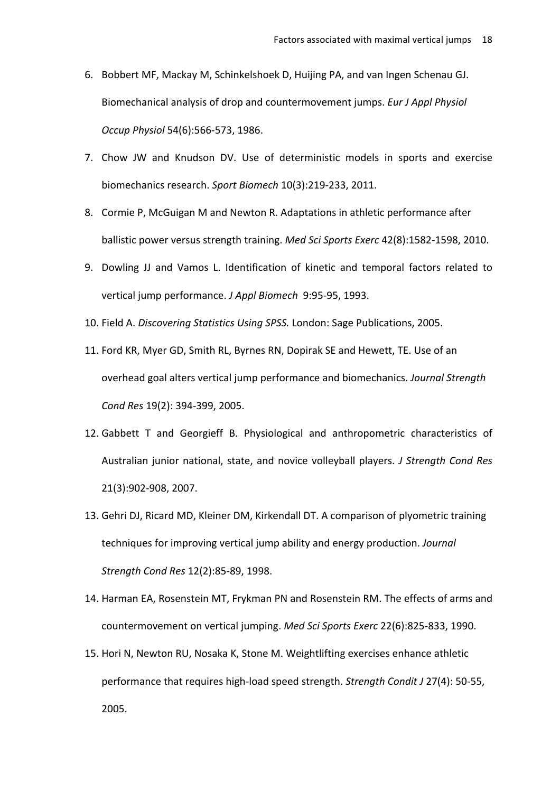- 6. Bobbert MF, Mackay M, Schinkelshoek D, Huijing PA, and van Ingen Schenau GJ. Biomechanical analysis of drop and countermovement jumps. *Eur J Appl Physiol Occup Physiol* 54(6):566-573, 1986.
- 7. Chow JW and Knudson DV. Use of deterministic models in sports and exercise biomechanics research. Sport Biomech 10(3):219-233, 2011.
- 8. Cormie P, McGuigan M and Newton R. Adaptations in athletic performance after ballistic power versus strength training. *Med Sci Sports Exerc* 42(8):1582-1598, 2010.
- 9. Dowling JJ and Vamos L. Identification of kinetic and temporal factors related to vertical jump performance. *J Appl Biomech* 9:95-95, 1993.
- 10. Field A. *Discovering Statistics Using SPSS*. London: Sage Publications, 2005.
- 11. Ford KR, Myer GD, Smith RL, Byrnes RN, Dopirak SE and Hewett, TE. Use of an overhead goal alters vertical jump performance and biomechanics. *Journal Strength Cond Res* 19(2): 394-399, 2005.
- 12. Gabbett T and Georgieff B. Physiological and anthropometric characteristics of Australian junior national, state, and novice volleyball players. *J Strength Cond Res* 21(3):902-908, 2007.
- 13. Gehri DJ, Ricard MD, Kleiner DM, Kirkendall DT. A comparison of plyometric training techniques for improving vertical jump ability and energy production. *Journal Strength Cond Res* 12(2):85-89, 1998.
- 14. Harman EA, Rosenstein MT, Frykman PN and Rosenstein RM. The effects of arms and countermovement on vertical jumping. Med Sci Sports Exerc 22(6):825-833, 1990.
- 15. Hori N, Newton RU, Nosaka K, Stone M. Weightlifting exercises enhance athletic performance that requires high-load speed strength. *Strength Condit J* 27(4): 50-55, 2005.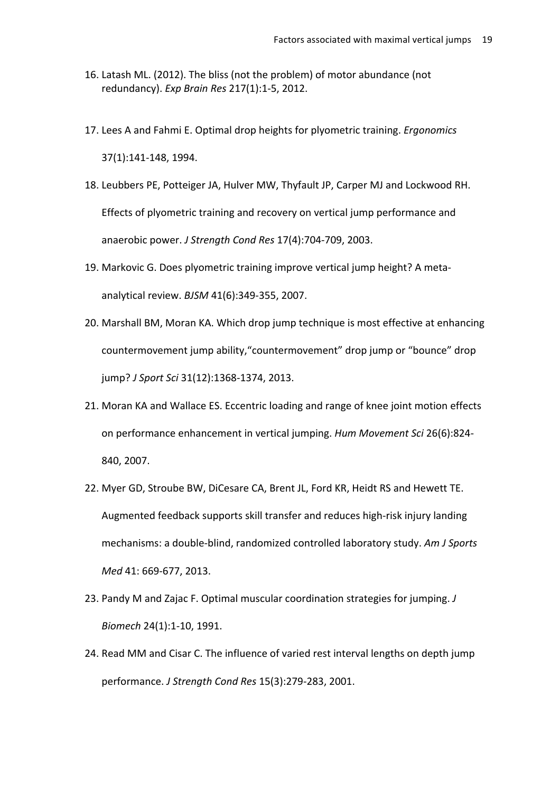- 16. Latash ML. (2012). The bliss (not the problem) of motor abundance (not redundancy). *Exp Brain Res* 217(1):1-5, 2012.
- 17. Lees A and Fahmi E. Optimal drop heights for plyometric training. *Ergonomics* 37(1):141-148, 1994.
- 18. Leubbers PE, Potteiger JA, Hulver MW, Thyfault JP, Carper MJ and Lockwood RH. Effects of plyometric training and recovery on vertical jump performance and anaerobic power. *J Strength Cond Res* 17(4):704-709, 2003.
- 19. Markovic G. Does plyometric training improve vertical jump height? A metaanalytical review. *BJSM* 41(6):349-355, 2007.
- 20. Marshall BM, Moran KA. Which drop jump technique is most effective at enhancing countermovement jump ability, "countermovement" drop jump or "bounce" drop jump? *J Sport Sci* 31(12):1368-1374, 2013.
- 21. Moran KA and Wallace ES. Eccentric loading and range of knee joint motion effects on performance enhancement in vertical jumping. Hum Movement Sci 26(6):824-840, 2007.
- 22. Myer GD, Stroube BW, DiCesare CA, Brent JL, Ford KR, Heidt RS and Hewett TE. Augmented feedback supports skill transfer and reduces high-risk injury landing mechanisms: a double-blind, randomized controlled laboratory study. Am J Sports *Med* 41: 669-677, 2013.
- 23. Pandy M and Zajac F. Optimal muscular coordination strategies for jumping. *J Biomech* 24(1):1-10, 1991.
- 24. Read MM and Cisar C. The influence of varied rest interval lengths on depth jump performance. *J Strength Cond Res* 15(3):279-283, 2001.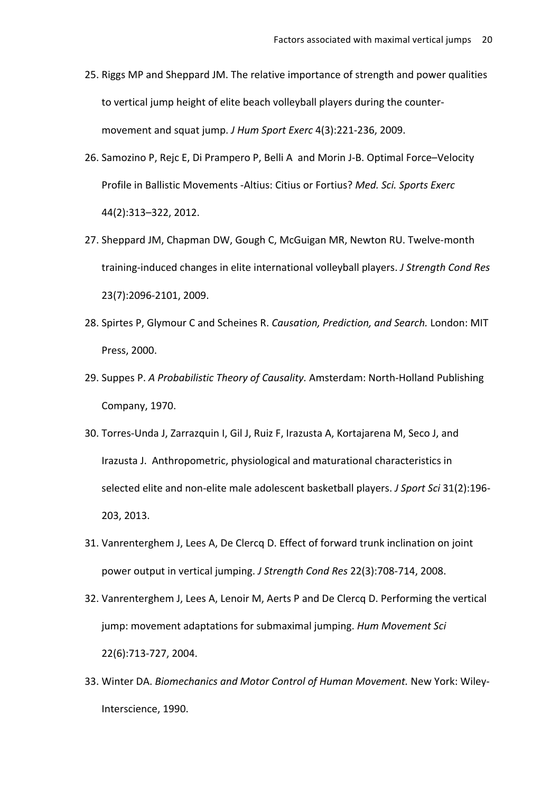- 25. Riggs MP and Sheppard JM. The relative importance of strength and power qualities to vertical jump height of elite beach volleyball players during the countermovement and squat jump. *J Hum Sport Exerc* 4(3):221-236, 2009.
- 26. Samozino P, Rejc E, Di Prampero P, Belli A and Morin J-B. Optimal Force–Velocity Profile in Ballistic Movements -Altius: Citius or Fortius? Med. Sci. Sports Exerc 44(2):313–322, 2012.
- 27. Sheppard JM, Chapman DW, Gough C, McGuigan MR, Newton RU. Twelve-month training-induced changes in elite international volleyball players. *J Strength Cond Res* 23(7):2096-2101, 2009.
- 28. Spirtes P, Glymour C and Scheines R. *Causation, Prediction, and Search.* London: MIT Press, 2000.
- 29. Suppes P. A Probabilistic Theory of Causality. Amsterdam: North-Holland Publishing Company, 1970.
- 30. Torres-Unda J, Zarrazquin I, Gil J, Ruiz F, Irazusta A, Kortajarena M, Seco J, and Irazusta J. Anthropometric, physiological and maturational characteristics in selected elite and non-elite male adolescent basketball players. *J Sport Sci* 31(2):196-203, 2013.
- 31. Vanrenterghem J, Lees A, De Clercq D. Effect of forward trunk inclination on joint power output in vertical jumping. *J Strength Cond Res* 22(3):708-714, 2008.
- 32. Vanrenterghem J, Lees A, Lenoir M, Aerts P and De Clercq D. Performing the vertical jump: movement adaptations for submaximal jumping. Hum Movement Sci 22(6):713-727, 2004.
- 33. Winter DA. Biomechanics and Motor Control of Human Movement. New York: Wiley-Interscience, 1990.